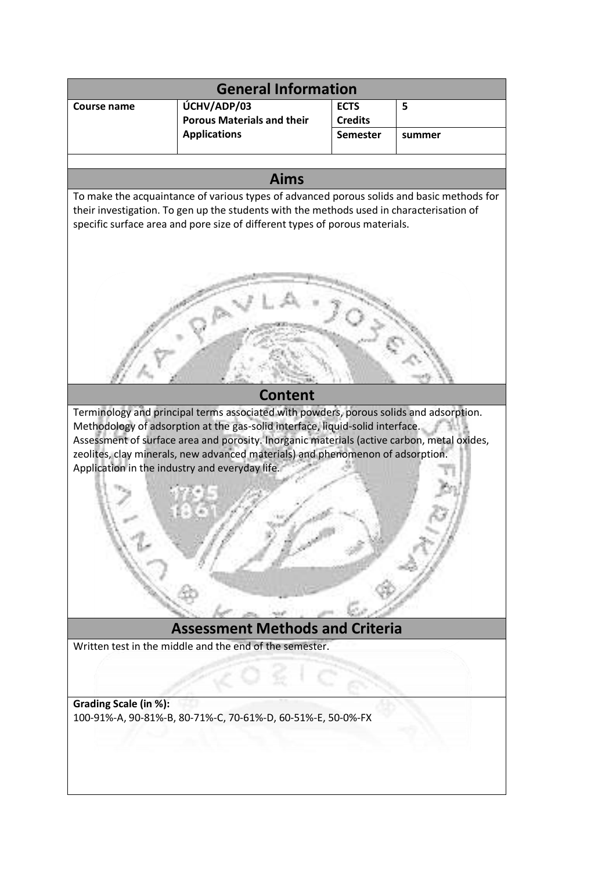